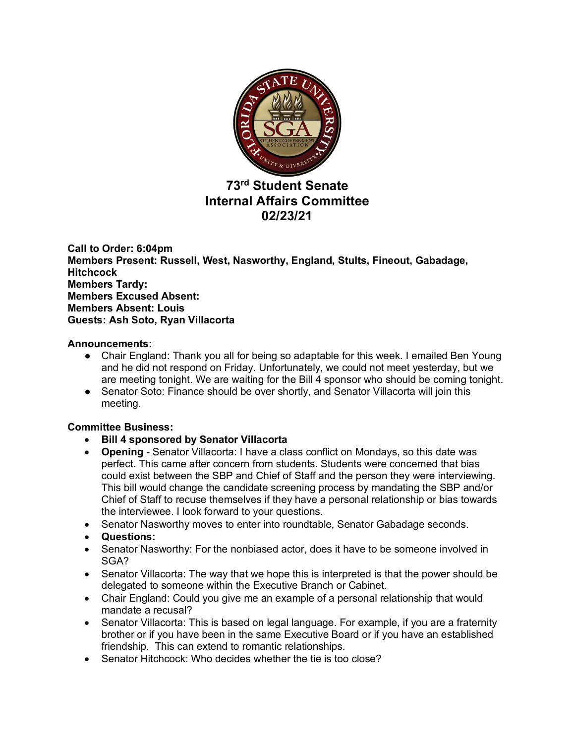

# **73rd Student Senate Internal Affairs Committee 02/23/21**

**Call to Order: 6:04pm Members Present: Russell, West, Nasworthy, England, Stults, Fineout, Gabadage, Hitchcock Members Tardy: Members Excused Absent: Members Absent: Louis Guests: Ash Soto, Ryan Villacorta**

## **Announcements:**

- Chair England: Thank you all for being so adaptable for this week. I emailed Ben Young and he did not respond on Friday. Unfortunately, we could not meet yesterday, but we are meeting tonight. We are waiting for the Bill 4 sponsor who should be coming tonight.
- Senator Soto: Finance should be over shortly, and Senator Villacorta will join this meeting.

## **Committee Business:**

- **Bill 4 sponsored by Senator Villacorta**
- **Opening** Senator Villacorta: I have a class conflict on Mondays, so this date was perfect. This came after concern from students. Students were concerned that bias could exist between the SBP and Chief of Staff and the person they were interviewing. This bill would change the candidate screening process by mandating the SBP and/or Chief of Staff to recuse themselves if they have a personal relationship or bias towards the interviewee. I look forward to your questions.
- Senator Nasworthy moves to enter into roundtable, Senator Gabadage seconds.
- **Questions:**
- Senator Nasworthy: For the nonbiased actor, does it have to be someone involved in SGA?
- Senator Villacorta: The way that we hope this is interpreted is that the power should be delegated to someone within the Executive Branch or Cabinet.
- Chair England: Could you give me an example of a personal relationship that would mandate a recusal?
- Senator Villacorta: This is based on legal language. For example, if you are a fraternity brother or if you have been in the same Executive Board or if you have an established friendship. This can extend to romantic relationships.
- Senator Hitchcock: Who decides whether the tie is too close?